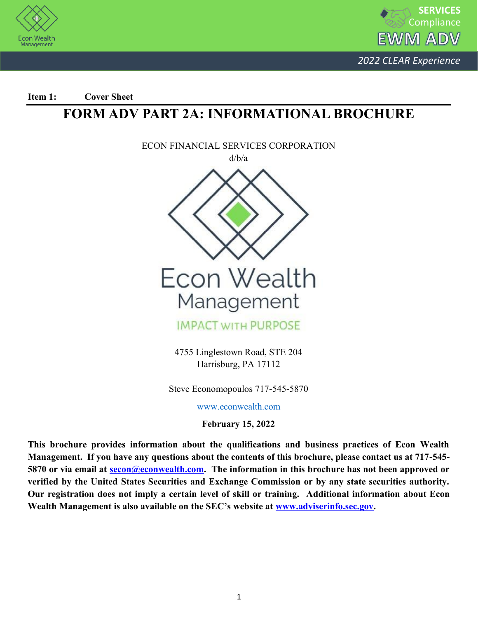



**Item 1: Cover Sheet** 

## **FORM ADV PART 2A: INFORMATIONAL BROCHURE**



4755 Linglestown Road, STE 204 Harrisburg, PA 17112

Steve Economopoulos 717-545-5870

[www.econwealth.com](http://www.econwealth.com/)

**February 15, 2022**

**This brochure provides information about the qualifications and business practices of Econ Wealth Management. If you have any questions about the contents of this brochure, please contact us at 717-545- 5870 or via email at secon@econwealth.com. The information in this brochure has not been approved or verified by the United States Securities and Exchange Commission or by any state securities authority. Our registration does not imply a certain level of skill or training. Additional information about Econ Wealth Management is also available on the SEC's website at [www.adviserinfo.sec.gov.](http://www.adviserinfo.sec.gov/)**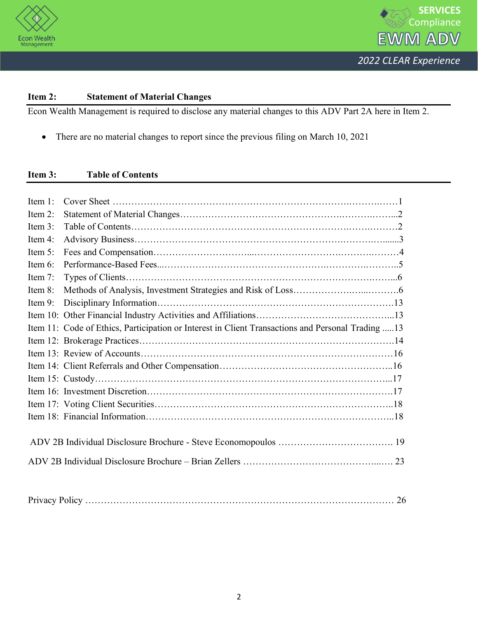



## **Item 2: Statement of Material Changes**

Econ Wealth Management is required to disclose any material changes to this ADV Part 2A here in Item 2.

• There are no material changes to report since the previous filing on March 10, 2021

## **Item 3: Table of Contents**

| Item $1$ : |                                                                                                    |  |
|------------|----------------------------------------------------------------------------------------------------|--|
| Item 2:    |                                                                                                    |  |
| Item 3:    |                                                                                                    |  |
| Item 4:    |                                                                                                    |  |
| Item 5:    |                                                                                                    |  |
| Item $6$ : |                                                                                                    |  |
| Item 7:    |                                                                                                    |  |
| Item 8:    |                                                                                                    |  |
| Item 9:    |                                                                                                    |  |
|            |                                                                                                    |  |
|            | Item 11: Code of Ethics, Participation or Interest in Client Transactions and Personal Trading  13 |  |
|            |                                                                                                    |  |
|            |                                                                                                    |  |
|            |                                                                                                    |  |
|            |                                                                                                    |  |
|            |                                                                                                    |  |
|            |                                                                                                    |  |
|            |                                                                                                    |  |
|            |                                                                                                    |  |
|            |                                                                                                    |  |
|            |                                                                                                    |  |
|            |                                                                                                    |  |
|            |                                                                                                    |  |

| Privacy |
|---------|
|---------|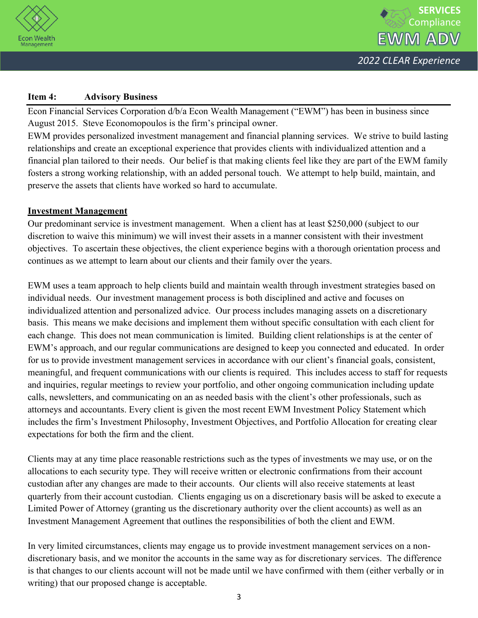

## **Item 4: Advisory Business**

Econ Financial Services Corporation d/b/a Econ Wealth Management ("EWM") has been in business since August 2015. Steve Economopoulos is the firm's principal owner.

EWM provides personalized investment management and financial planning services. We strive to build lasting relationships and create an exceptional experience that provides clients with individualized attention and a financial plan tailored to their needs. Our belief is that making clients feel like they are part of the EWM family fosters a strong working relationship, with an added personal touch. We attempt to help build, maintain, and preserve the assets that clients have worked so hard to accumulate.

## **Investment Management**

Our predominant service is investment management. When a client has at least \$250,000 (subject to our discretion to waive this minimum) we will invest their assets in a manner consistent with their investment objectives. To ascertain these objectives, the client experience begins with a thorough orientation process and continues as we attempt to learn about our clients and their family over the years.

EWM uses a team approach to help clients build and maintain wealth through investment strategies based on individual needs. Our investment management process is both disciplined and active and focuses on individualized attention and personalized advice. Our process includes managing assets on a discretionary basis. This means we make decisions and implement them without specific consultation with each client for each change. This does not mean communication is limited. Building client relationships is at the center of EWM's approach, and our regular communications are designed to keep you connected and educated. In order for us to provide investment management services in accordance with our client's financial goals, consistent, meaningful, and frequent communications with our clients is required. This includes access to staff for requests and inquiries, regular meetings to review your portfolio, and other ongoing communication including update calls, newsletters, and communicating on an as needed basis with the client's other professionals, such as attorneys and accountants. Every client is given the most recent EWM Investment Policy Statement which includes the firm's Investment Philosophy, Investment Objectives, and Portfolio Allocation for creating clear expectations for both the firm and the client.

Clients may at any time place reasonable restrictions such as the types of investments we may use, or on the allocations to each security type. They will receive written or electronic confirmations from their account custodian after any changes are made to their accounts. Our clients will also receive statements at least quarterly from their account custodian. Clients engaging us on a discretionary basis will be asked to execute a Limited Power of Attorney (granting us the discretionary authority over the client accounts) as well as an Investment Management Agreement that outlines the responsibilities of both the client and EWM.

In very limited circumstances, clients may engage us to provide investment management services on a nondiscretionary basis, and we monitor the accounts in the same way as for discretionary services. The difference is that changes to our clients account will not be made until we have confirmed with them (either verbally or in writing) that our proposed change is acceptable.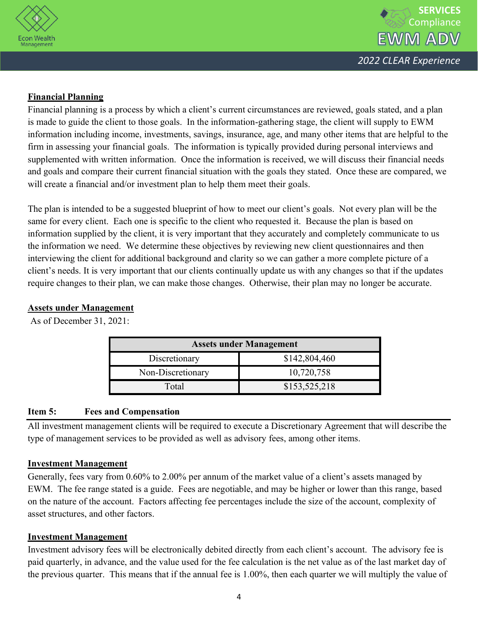



## **Financial Planning**

Financial planning is a process by which a client's current circumstances are reviewed, goals stated, and a plan is made to guide the client to those goals. In the information-gathering stage, the client will supply to EWM information including income, investments, savings, insurance, age, and many other items that are helpful to the firm in assessing your financial goals. The information is typically provided during personal interviews and supplemented with written information. Once the information is received, we will discuss their financial needs and goals and compare their current financial situation with the goals they stated. Once these are compared, we will create a financial and/or investment plan to help them meet their goals.

The plan is intended to be a suggested blueprint of how to meet our client's goals. Not every plan will be the same for every client. Each one is specific to the client who requested it. Because the plan is based on information supplied by the client, it is very important that they accurately and completely communicate to us the information we need. We determine these objectives by reviewing new client questionnaires and then interviewing the client for additional background and clarity so we can gather a more complete picture of a client's needs. It is very important that our clients continually update us with any changes so that if the updates require changes to their plan, we can make those changes. Otherwise, their plan may no longer be accurate.

## **Assets under Management**

As of December 31, 2021:

| <b>Assets under Management</b> |               |  |  |
|--------------------------------|---------------|--|--|
| Discretionary                  | \$142,804,460 |  |  |
| Non-Discretionary              | 10,720,758    |  |  |
| Total                          | \$153,525,218 |  |  |

## **Item 5: Fees and Compensation**

All investment management clients will be required to execute a Discretionary Agreement that will describe the type of management services to be provided as well as advisory fees, among other items.

## **Investment Management**

Generally, fees vary from 0.60% to 2.00% per annum of the market value of a client's assets managed by EWM. The fee range stated is a guide. Fees are negotiable, and may be higher or lower than this range, based on the nature of the account. Factors affecting fee percentages include the size of the account, complexity of asset structures, and other factors.

## **Investment Management**

Investment advisory fees will be electronically debited directly from each client's account. The advisory fee is paid quarterly, in advance, and the value used for the fee calculation is the net value as of the last market day of the previous quarter. This means that if the annual fee is 1.00%, then each quarter we will multiply the value of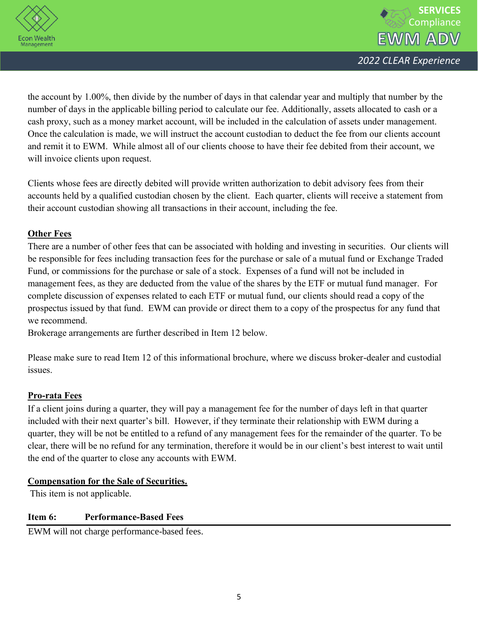



the account by 1.00%, then divide by the number of days in that calendar year and multiply that number by the number of days in the applicable billing period to calculate our fee. Additionally, assets allocated to cash or a cash proxy, such as a money market account, will be included in the calculation of assets under management. Once the calculation is made, we will instruct the account custodian to deduct the fee from our clients account and remit it to EWM. While almost all of our clients choose to have their fee debited from their account, we will invoice clients upon request.

Clients whose fees are directly debited will provide written authorization to debit advisory fees from their accounts held by a qualified custodian chosen by the client. Each quarter, clients will receive a statement from their account custodian showing all transactions in their account, including the fee.

## **Other Fees**

There are a number of other fees that can be associated with holding and investing in securities. Our clients will be responsible for fees including transaction fees for the purchase or sale of a mutual fund or Exchange Traded Fund, or commissions for the purchase or sale of a stock. Expenses of a fund will not be included in management fees, as they are deducted from the value of the shares by the ETF or mutual fund manager. For complete discussion of expenses related to each ETF or mutual fund, our clients should read a copy of the prospectus issued by that fund. EWM can provide or direct them to a copy of the prospectus for any fund that we recommend.

Brokerage arrangements are further described in Item 12 below.

Please make sure to read Item 12 of this informational brochure, where we discuss broker-dealer and custodial issues.

## **Pro-rata Fees**

If a client joins during a quarter, they will pay a management fee for the number of days left in that quarter included with their next quarter's bill. However, if they terminate their relationship with EWM during a quarter, they will be not be entitled to a refund of any management fees for the remainder of the quarter. To be clear, there will be no refund for any termination, therefore it would be in our client's best interest to wait until the end of the quarter to close any accounts with EWM.

## **Compensation for the Sale of Securities.**

This item is not applicable.

## **Item 6: Performance-Based Fees**

EWM will not charge performance-based fees.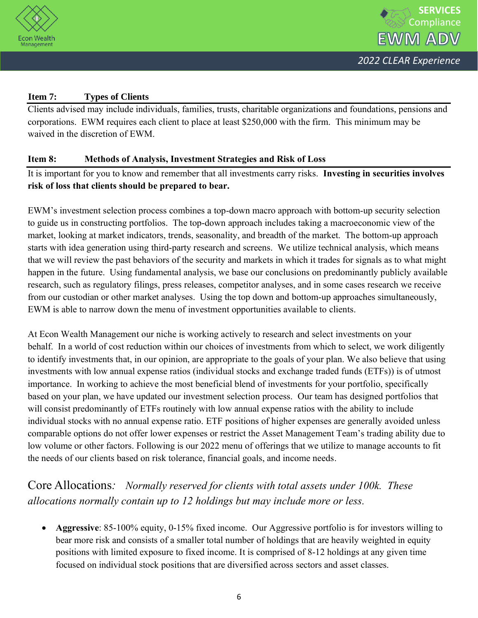

## **Item 7: Types of Clients**

Clients advised may include individuals, families, trusts, charitable organizations and foundations, pensions and corporations. EWM requires each client to place at least \$250,000 with the firm. This minimum may be waived in the discretion of EWM.

## **Item 8: Methods of Analysis, Investment Strategies and Risk of Loss**

It is important for you to know and remember that all investments carry risks. **Investing in securities involves risk of loss that clients should be prepared to bear.** 

EWM's investment selection process combines a top-down macro approach with bottom-up security selection to guide us in constructing portfolios. The top-down approach includes taking a macroeconomic view of the market, looking at market indicators, trends, seasonality, and breadth of the market. The bottom-up approach starts with idea generation using third-party research and screens. We utilize technical analysis, which means that we will review the past behaviors of the security and markets in which it trades for signals as to what might happen in the future. Using fundamental analysis, we base our conclusions on predominantly publicly available research, such as regulatory filings, press releases, competitor analyses, and in some cases research we receive from our custodian or other market analyses. Using the top down and bottom-up approaches simultaneously, EWM is able to narrow down the menu of investment opportunities available to clients.

At Econ Wealth Management our niche is working actively to research and select investments on your behalf. In a world of cost reduction within our choices of investments from which to select, we work diligently to identify investments that, in our opinion, are appropriate to the goals of your plan. We also believe that using investments with low annual expense ratios (individual stocks and exchange traded funds (ETFs)) is of utmost importance. In working to achieve the most beneficial blend of investments for your portfolio, specifically based on your plan, we have updated our investment selection process. Our team has designed portfolios that will consist predominantly of ETFs routinely with low annual expense ratios with the ability to include individual stocks with no annual expense ratio. ETF positions of higher expenses are generally avoided unless comparable options do not offer lower expenses or restrict the Asset Management Team's trading ability due to low volume or other factors. Following is our 2022 menu of offerings that we utilize to manage accounts to fit the needs of our clients based on risk tolerance, financial goals, and income needs.

## Core Allocations*: Normally reserved for clients with total assets under 100k. These allocations normally contain up to 12 holdings but may include more or less.*

• **Aggressive**: 85-100% equity, 0-15% fixed income. Our Aggressive portfolio is for investors willing to bear more risk and consists of a smaller total number of holdings that are heavily weighted in equity positions with limited exposure to fixed income. It is comprised of 8-12 holdings at any given time focused on individual stock positions that are diversified across sectors and asset classes.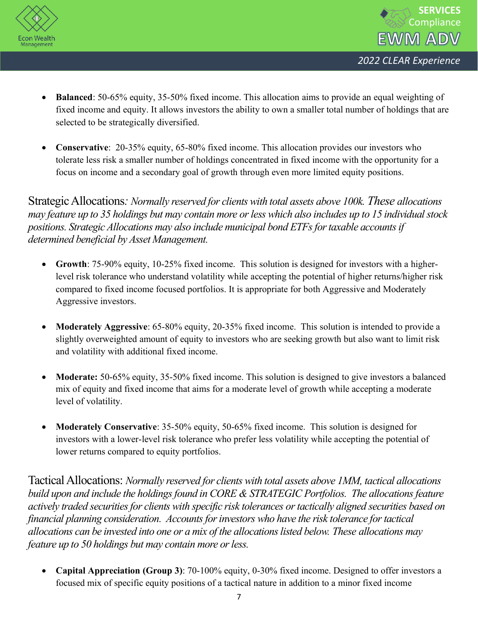



- **Balanced**: 50-65% equity, 35-50% fixed income. This allocation aims to provide an equal weighting of fixed income and equity. It allows investors the ability to own a smaller total number of holdings that are selected to be strategically diversified.
- **Conservative**: 20-35% equity, 65-80% fixed income. This allocation provides our investors who tolerate less risk a smaller number of holdings concentrated in fixed income with the opportunity for a focus on income and a secondary goal of growth through even more limited equity positions.

Strategic Allocations*: Normally reserved for clients with total assets above 100k. These allocations may feature up to 35 holdings but may contain more or less which also includes up to 15 individual stock positions. Strategic Allocations may also include municipal bond ETFs for taxable accountsif determined beneficial by Asset Management.* 

- **Growth**: 75-90% equity, 10-25% fixed income. This solution is designed for investors with a higherlevel risk tolerance who understand volatility while accepting the potential of higher returns/higher risk compared to fixed income focused portfolios. It is appropriate for both Aggressive and Moderately Aggressive investors.
- **Moderately Aggressive**: 65-80% equity, 20-35% fixed income. This solution is intended to provide a slightly overweighted amount of equity to investors who are seeking growth but also want to limit risk and volatility with additional fixed income.
- **Moderate:** 50-65% equity, 35-50% fixed income. This solution is designed to give investors a balanced mix of equity and fixed income that aims for a moderate level of growth while accepting a moderate level of volatility.
- **Moderately Conservative**: 35-50% equity, 50-65% fixed income. This solution is designed for investors with a lower-level risk tolerance who prefer less volatility while accepting the potential of lower returns compared to equity portfolios.

Tactical Allocations: *Normally reserved for clients with total assets above 1MM, tactical allocations build upon and include the holdings found in CORE & STRATEGIC Portfolios. The allocationsfeature actively traded securities for clients with specific risk tolerances or tactically aligned securities based on financial planning consideration. Accounts for investors who have the risk tolerance for tactical allocations can be invested into one or a mix of the allocations listed below. These allocations may feature up to 50 holdings but may contain more or less.* 

• **Capital Appreciation (Group 3)**: 70-100% equity, 0-30% fixed income. Designed to offer investors a focused mix of specific equity positions of a tactical nature in addition to a minor fixed income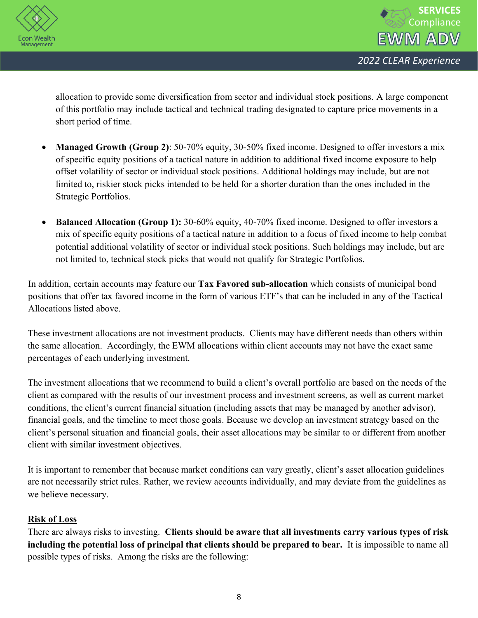



allocation to provide some diversification from sector and individual stock positions. A large component of this portfolio may include tactical and technical trading designated to capture price movements in a short period of time.

- **Managed Growth (Group 2)**: 50-70% equity, 30-50% fixed income. Designed to offer investors a mix of specific equity positions of a tactical nature in addition to additional fixed income exposure to help offset volatility of sector or individual stock positions. Additional holdings may include, but are not limited to, riskier stock picks intended to be held for a shorter duration than the ones included in the Strategic Portfolios.
- **Balanced Allocation (Group 1):** 30-60% equity, 40-70% fixed income. Designed to offer investors a mix of specific equity positions of a tactical nature in addition to a focus of fixed income to help combat potential additional volatility of sector or individual stock positions. Such holdings may include, but are not limited to, technical stock picks that would not qualify for Strategic Portfolios.

In addition, certain accounts may feature our **Tax Favored sub-allocation** which consists of municipal bond positions that offer tax favored income in the form of various ETF's that can be included in any of the Tactical Allocations listed above.

These investment allocations are not investment products. Clients may have different needs than others within the same allocation. Accordingly, the EWM allocations within client accounts may not have the exact same percentages of each underlying investment.

The investment allocations that we recommend to build a client's overall portfolio are based on the needs of the client as compared with the results of our investment process and investment screens, as well as current market conditions, the client's current financial situation (including assets that may be managed by another advisor), financial goals, and the timeline to meet those goals. Because we develop an investment strategy based on the client's personal situation and financial goals, their asset allocations may be similar to or different from another client with similar investment objectives.

It is important to remember that because market conditions can vary greatly, client's asset allocation guidelines are not necessarily strict rules. Rather, we review accounts individually, and may deviate from the guidelines as we believe necessary.

## **Risk of Loss**

There are always risks to investing. **Clients should be aware that all investments carry various types of risk including the potential loss of principal that clients should be prepared to bear.** It is impossible to name all possible types of risks. Among the risks are the following: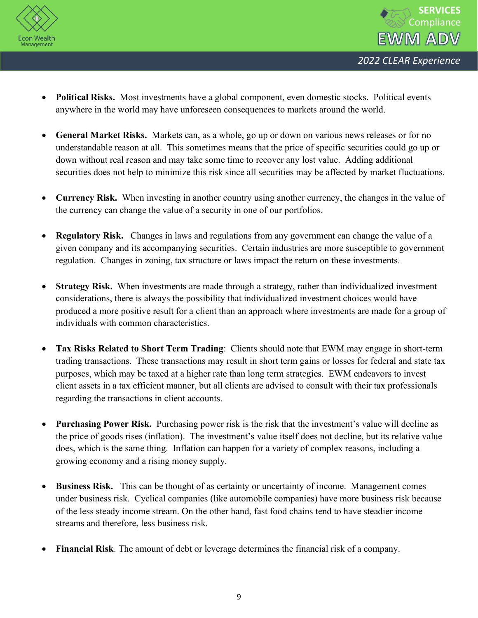



- **Political Risks.** Most investments have a global component, even domestic stocks. Political events anywhere in the world may have unforeseen consequences to markets around the world.
- **General Market Risks.** Markets can, as a whole, go up or down on various news releases or for no understandable reason at all. This sometimes means that the price of specific securities could go up or down without real reason and may take some time to recover any lost value. Adding additional securities does not help to minimize this risk since all securities may be affected by market fluctuations.
- **Currency Risk.** When investing in another country using another currency, the changes in the value of the currency can change the value of a security in one of our portfolios.
- **Regulatory Risk.** Changes in laws and regulations from any government can change the value of a given company and its accompanying securities. Certain industries are more susceptible to government regulation. Changes in zoning, tax structure or laws impact the return on these investments.
- **Strategy Risk.** When investments are made through a strategy, rather than individualized investment considerations, there is always the possibility that individualized investment choices would have produced a more positive result for a client than an approach where investments are made for a group of individuals with common characteristics.
- **Tax Risks Related to Short Term Trading**: Clients should note that EWM may engage in short-term trading transactions. These transactions may result in short term gains or losses for federal and state tax purposes, which may be taxed at a higher rate than long term strategies. EWM endeavors to invest client assets in a tax efficient manner, but all clients are advised to consult with their tax professionals regarding the transactions in client accounts.
- **Purchasing Power Risk.** Purchasing power risk is the risk that the investment's value will decline as the price of goods rises (inflation). The investment's value itself does not decline, but its relative value does, which is the same thing. Inflation can happen for a variety of complex reasons, including a growing economy and a rising money supply.
- **Business Risk.** This can be thought of as certainty or uncertainty of income. Management comes under business risk. Cyclical companies (like automobile companies) have more business risk because of the less steady income stream. On the other hand, fast food chains tend to have steadier income streams and therefore, less business risk.
- **Financial Risk**. The amount of debt or leverage determines the financial risk of a company.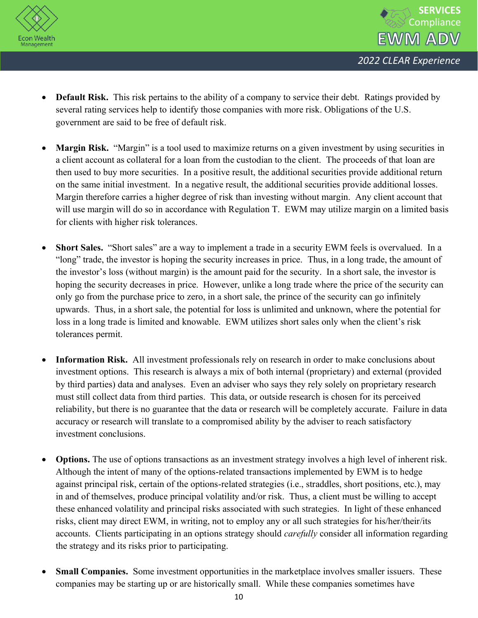



- **Default Risk.** This risk pertains to the ability of a company to service their debt. Ratings provided by several rating services help to identify those companies with more risk. Obligations of the U.S. government are said to be free of default risk.
- **Margin Risk.** "Margin" is a tool used to maximize returns on a given investment by using securities in a client account as collateral for a loan from the custodian to the client. The proceeds of that loan are then used to buy more securities. In a positive result, the additional securities provide additional return on the same initial investment. In a negative result, the additional securities provide additional losses. Margin therefore carries a higher degree of risk than investing without margin. Any client account that will use margin will do so in accordance with Regulation T. EWM may utilize margin on a limited basis for clients with higher risk tolerances.
- **Short Sales.** "Short sales" are a way to implement a trade in a security EWM feels is overvalued. In a "long" trade, the investor is hoping the security increases in price. Thus, in a long trade, the amount of the investor's loss (without margin) is the amount paid for the security. In a short sale, the investor is hoping the security decreases in price. However, unlike a long trade where the price of the security can only go from the purchase price to zero, in a short sale, the prince of the security can go infinitely upwards. Thus, in a short sale, the potential for loss is unlimited and unknown, where the potential for loss in a long trade is limited and knowable. EWM utilizes short sales only when the client's risk tolerances permit.
- **Information Risk.** All investment professionals rely on research in order to make conclusions about investment options. This research is always a mix of both internal (proprietary) and external (provided by third parties) data and analyses. Even an adviser who says they rely solely on proprietary research must still collect data from third parties. This data, or outside research is chosen for its perceived reliability, but there is no guarantee that the data or research will be completely accurate. Failure in data accuracy or research will translate to a compromised ability by the adviser to reach satisfactory investment conclusions.
- **Options.** The use of options transactions as an investment strategy involves a high level of inherent risk. Although the intent of many of the options-related transactions implemented by EWM is to hedge against principal risk, certain of the options-related strategies (i.e., straddles, short positions, etc.), may in and of themselves, produce principal volatility and/or risk. Thus, a client must be willing to accept these enhanced volatility and principal risks associated with such strategies. In light of these enhanced risks, client may direct EWM, in writing, not to employ any or all such strategies for his/her/their/its accounts. Clients participating in an options strategy should *carefully* consider all information regarding the strategy and its risks prior to participating.
- **Small Companies.** Some investment opportunities in the marketplace involves smaller issuers. These companies may be starting up or are historically small. While these companies sometimes have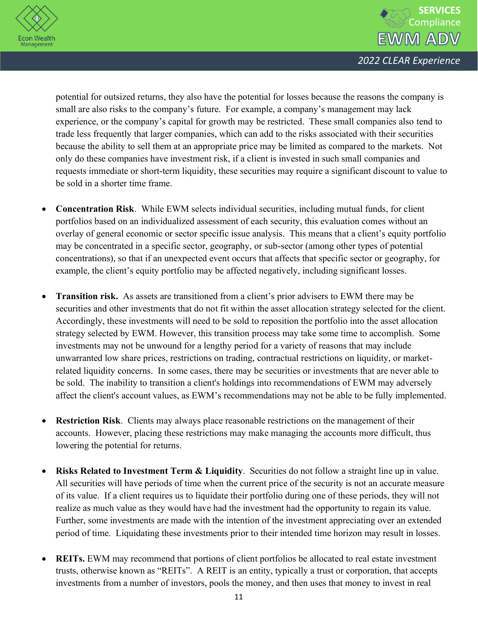



potential for outsized returns, they also have the potential for losses because the reasons the company is small are also risks to the company's future. For example, a company's management may lack experience, or the company's capital for growth may be restricted. These small companies also tend to trade less frequently that larger companies, which can add to the risks associated with their securities because the ability to sell them at an appropriate price may be limited as compared to the markets. Not only do these companies have investment risk, if a client is invested in such small companies and requests immediate or short-term liquidity, these securities may require a significant discount to value to be sold in a shorter time frame.

- **Concentration Risk**. While EWM selects individual securities, including mutual funds, for client portfolios based on an individualized assessment of each security, this evaluation comes without an overlay of general economic or sector specific issue analysis. This means that a client's equity portfolio may be concentrated in a specific sector, geography, or sub-sector (among other types of potential concentrations), so that if an unexpected event occurs that affects that specific sector or geography, for example, the client's equity portfolio may be affected negatively, including significant losses.
- **Transition risk.** As assets are transitioned from a client's prior advisers to EWM there may be securities and other investments that do not fit within the asset allocation strategy selected for the client. Accordingly, these investments will need to be sold to reposition the portfolio into the asset allocation strategy selected by EWM. However, this transition process may take some time to accomplish. Some investments may not be unwound for a lengthy period for a variety of reasons that may include unwarranted low share prices, restrictions on trading, contractual restrictions on liquidity, or marketrelated liquidity concerns. In some cases, there may be securities or investments that are never able to be sold. The inability to transition a client's holdings into recommendations of EWM may adversely affect the client's account values, as EWM's recommendations may not be able to be fully implemented.
- **Restriction Risk**. Clients may always place reasonable restrictions on the management of their accounts. However, placing these restrictions may make managing the accounts more difficult, thus lowering the potential for returns.
- **Risks Related to Investment Term & Liquidity**. Securities do not follow a straight line up in value. All securities will have periods of time when the current price of the security is not an accurate measure of its value. If a client requires us to liquidate their portfolio during one of these periods, they will not realize as much value as they would have had the investment had the opportunity to regain its value. Further, some investments are made with the intention of the investment appreciating over an extended period of time. Liquidating these investments prior to their intended time horizon may result in losses.
- **REITS.** EWM may recommend that portions of client portfolios be allocated to real estate investment trusts, otherwise known as "REITs". A REIT is an entity, typically a trust or corporation, that accepts investments from a number of investors, pools the money, and then uses that money to invest in real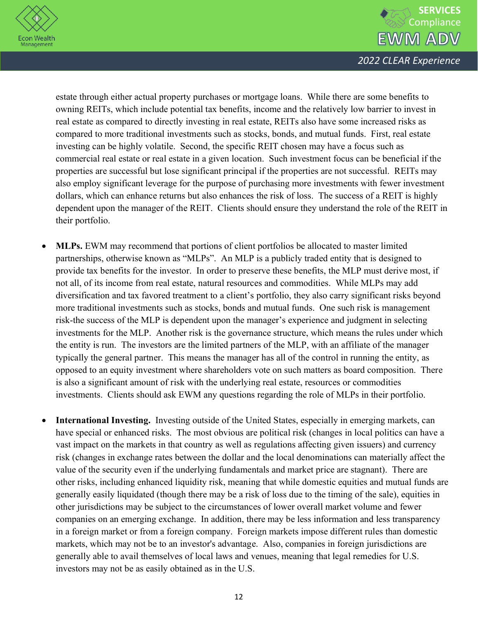



estate through either actual property purchases or mortgage loans. While there are some benefits to owning REITs, which include potential tax benefits, income and the relatively low barrier to invest in real estate as compared to directly investing in real estate, REITs also have some increased risks as compared to more traditional investments such as stocks, bonds, and mutual funds. First, real estate investing can be highly volatile. Second, the specific REIT chosen may have a focus such as commercial real estate or real estate in a given location. Such investment focus can be beneficial if the properties are successful but lose significant principal if the properties are not successful. REITs may also employ significant leverage for the purpose of purchasing more investments with fewer investment dollars, which can enhance returns but also enhances the risk of loss. The success of a REIT is highly dependent upon the manager of the REIT. Clients should ensure they understand the role of the REIT in their portfolio.

- **MLPs.** EWM may recommend that portions of client portfolios be allocated to master limited partnerships, otherwise known as "MLPs". An MLP is a publicly traded entity that is designed to provide tax benefits for the investor. In order to preserve these benefits, the MLP must derive most, if not all, of its income from real estate, natural resources and commodities. While MLPs may add diversification and tax favored treatment to a client's portfolio, they also carry significant risks beyond more traditional investments such as stocks, bonds and mutual funds. One such risk is management risk-the success of the MLP is dependent upon the manager's experience and judgment in selecting investments for the MLP. Another risk is the governance structure, which means the rules under which the entity is run. The investors are the limited partners of the MLP, with an affiliate of the manager typically the general partner. This means the manager has all of the control in running the entity, as opposed to an equity investment where shareholders vote on such matters as board composition. There is also a significant amount of risk with the underlying real estate, resources or commodities investments. Clients should ask EWM any questions regarding the role of MLPs in their portfolio.
- **International Investing.** Investing outside of the United States, especially in emerging markets, can have special or enhanced risks. The most obvious are political risk (changes in local politics can have a vast impact on the markets in that country as well as regulations affecting given issuers) and currency risk (changes in exchange rates between the dollar and the local denominations can materially affect the value of the security even if the underlying fundamentals and market price are stagnant). There are other risks, including enhanced liquidity risk, meaning that while domestic equities and mutual funds are generally easily liquidated (though there may be a risk of loss due to the timing of the sale), equities in other jurisdictions may be subject to the circumstances of lower overall market volume and fewer companies on an emerging exchange. In addition, there may be less information and less transparency in a foreign market or from a foreign company. Foreign markets impose different rules than domestic markets, which may not be to an investor's advantage. Also, companies in foreign jurisdictions are generally able to avail themselves of local laws and venues, meaning that legal remedies for U.S. investors may not be as easily obtained as in the U.S.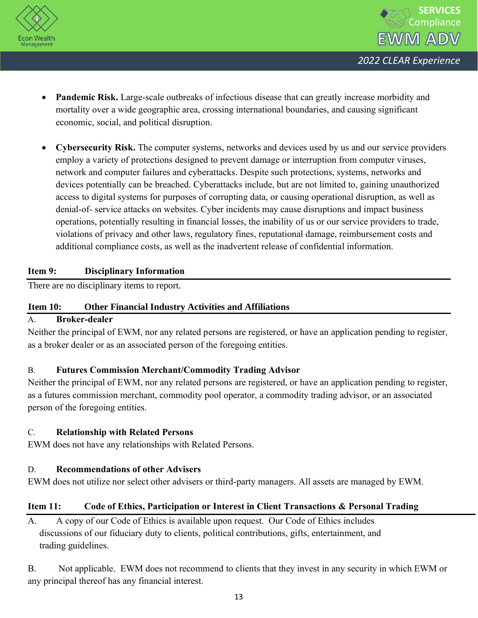



- Pandemic Risk. Large-scale outbreaks of infectious disease that can greatly increase morbidity and mortality over a wide geographic area, crossing international boundaries, and causing significant economic, social, and political disruption.
- **Cybersecurity Risk.** The computer systems, networks and devices used by us and our service providers employ a variety of protections designed to prevent damage or interruption from computer viruses, network and computer failures and cyberattacks. Despite such protections, systems, networks and devices potentially can be breached. Cyberattacks include, but are not limited to, gaining unauthorized access to digital systems for purposes of corrupting data, or causing operational disruption, as well as denial-of- service attacks on websites. Cyber incidents may cause disruptions and impact business operations, potentially resulting in financial losses, the inability of us or our service providers to trade, violations of privacy and other laws, regulatory fines, reputational damage, reimbursement costs and additional compliance costs, as well as the inadvertent release of confidential information.

## **Item 9: Disciplinary Information**

There are no disciplinary items to report.

## **Item 10: Other Financial Industry Activities and Affiliations**

## A. **Broker-dealer**

Neither the principal of EWM, nor any related persons are registered, or have an application pending to register, as a broker dealer or as an associated person of the foregoing entities.

## B. **Futures Commission Merchant/Commodity Trading Advisor**

Neither the principal of EWM, nor any related persons are registered, or have an application pending to register, as a futures commission merchant, commodity pool operator, a commodity trading advisor, or an associated person of the foregoing entities.

## C. **Relationship with Related Persons**

EWM does not have any relationships with Related Persons.

## D. **Recommendations of other Advisers**

EWM does not utilize nor select other advisers or third-party managers. All assets are managed by EWM.

## **Item 11: Code of Ethics, Participation or Interest in Client Transactions & Personal Trading**

A. A copy of our Code of Ethics is available upon request. Our Code of Ethics includes discussions of our fiduciary duty to clients, political contributions, gifts, entertainment, and trading guidelines.

B. Not applicable. EWM does not recommend to clients that they invest in any security in which EWM or any principal thereof has any financial interest.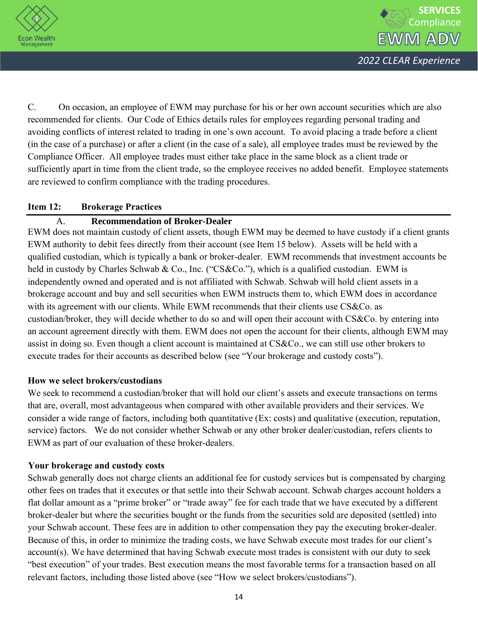



C. On occasion, an employee of EWM may purchase for his or her own account securities which are also recommended for clients. Our Code of Ethics details rules for employees regarding personal trading and avoiding conflicts of interest related to trading in one's own account. To avoid placing a trade before a client (in the case of a purchase) or after a client (in the case of a sale), all employee trades must be reviewed by the Compliance Officer. All employee trades must either take place in the same block as a client trade or sufficiently apart in time from the client trade, so the employee receives no added benefit. Employee statements are reviewed to confirm compliance with the trading procedures.

## **Item 12: Brokerage Practices**

## A. **Recommendation of Broker-Dealer**

EWM does not maintain custody of client assets, though EWM may be deemed to have custody if a client grants EWM authority to debit fees directly from their account (see Item 15 below). Assets will be held with a qualified custodian, which is typically a bank or broker-dealer. EWM recommends that investment accounts be held in custody by Charles Schwab & Co., Inc. ("CS&Co."), which is a qualified custodian. EWM is independently owned and operated and is not affiliated with Schwab. Schwab will hold client assets in a brokerage account and buy and sell securities when EWM instructs them to, which EWM does in accordance with its agreement with our clients. While EWM recommends that their clients use CS&Co. as custodian/broker, they will decide whether to do so and will open their account with CS&Co. by entering into an account agreement directly with them. EWM does not open the account for their clients, although EWM may assist in doing so. Even though a client account is maintained at CS&Co., we can still use other brokers to execute trades for their accounts as described below (see "Your brokerage and custody costs").

## **How we select brokers/custodians**

We seek to recommend a custodian/broker that will hold our client's assets and execute transactions on terms that are, overall, most advantageous when compared with other available providers and their services. We consider a wide range of factors, including both quantitative (Ex: costs) and qualitative (execution, reputation, service) factors. We do not consider whether Schwab or any other broker dealer/custodian, refers clients to EWM as part of our evaluation of these broker-dealers.

## **Your brokerage and custody costs**

Schwab generally does not charge clients an additional fee for custody services but is compensated by charging other fees on trades that it executes or that settle into their Schwab account. Schwab charges account holders a flat dollar amount as a "prime broker" or "trade away" fee for each trade that we have executed by a different broker-dealer but where the securities bought or the funds from the securities sold are deposited (settled) into your Schwab account. These fees are in addition to other compensation they pay the executing broker-dealer. Because of this, in order to minimize the trading costs, we have Schwab execute most trades for our client's account(s). We have determined that having Schwab execute most trades is consistent with our duty to seek "best execution" of your trades. Best execution means the most favorable terms for a transaction based on all relevant factors, including those listed above (see "How we select brokers/custodians").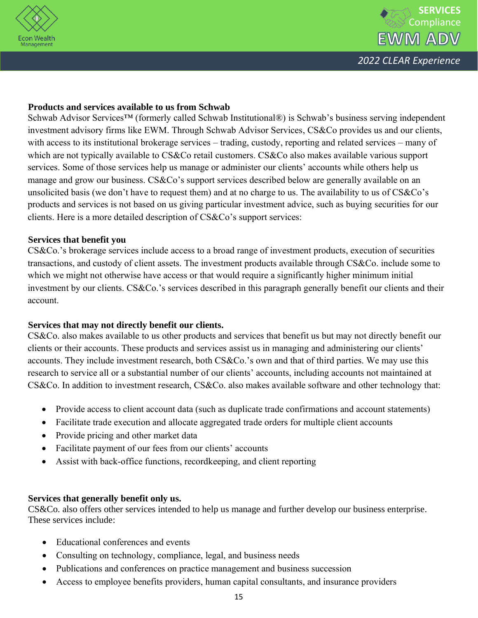



## **Products and services available to us from Schwab**

Schwab Advisor Services™ (formerly called Schwab Institutional®) is Schwab's business serving independent investment advisory firms like EWM. Through Schwab Advisor Services, CS&Co provides us and our clients, with access to its institutional brokerage services – trading, custody, reporting and related services – many of which are not typically available to CS&Co retail customers. CS&Co also makes available various support services. Some of those services help us manage or administer our clients' accounts while others help us manage and grow our business. CS&Co's support services described below are generally available on an unsolicited basis (we don't have to request them) and at no charge to us. The availability to us of CS&Co's products and services is not based on us giving particular investment advice, such as buying securities for our clients. Here is a more detailed description of CS&Co's support services:

#### **Services that benefit you**

CS&Co.'s brokerage services include access to a broad range of investment products, execution of securities transactions, and custody of client assets. The investment products available through CS&Co. include some to which we might not otherwise have access or that would require a significantly higher minimum initial investment by our clients. CS&Co.'s services described in this paragraph generally benefit our clients and their account.

## **Services that may not directly benefit our clients.**

CS&Co. also makes available to us other products and services that benefit us but may not directly benefit our clients or their accounts. These products and services assist us in managing and administering our clients' accounts. They include investment research, both CS&Co.'s own and that of third parties. We may use this research to service all or a substantial number of our clients' accounts, including accounts not maintained at CS&Co. In addition to investment research, CS&Co. also makes available software and other technology that:

- Provide access to client account data (such as duplicate trade confirmations and account statements)
- Facilitate trade execution and allocate aggregated trade orders for multiple client accounts
- Provide pricing and other market data
- Facilitate payment of our fees from our clients' accounts
- Assist with back-office functions, recordkeeping, and client reporting

## **Services that generally benefit only us.**

CS&Co. also offers other services intended to help us manage and further develop our business enterprise. These services include:

- Educational conferences and events
- Consulting on technology, compliance, legal, and business needs
- Publications and conferences on practice management and business succession
- Access to employee benefits providers, human capital consultants, and insurance providers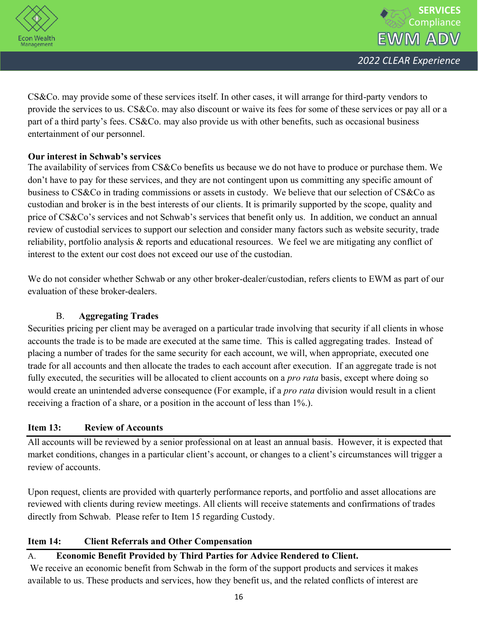



CS&Co. may provide some of these services itself. In other cases, it will arrange for third-party vendors to provide the services to us. CS&Co. may also discount or waive its fees for some of these services or pay all or a part of a third party's fees. CS&Co. may also provide us with other benefits, such as occasional business entertainment of our personnel.

## **Our interest in Schwab's services**

The availability of services from CS&Co benefits us because we do not have to produce or purchase them. We don't have to pay for these services, and they are not contingent upon us committing any specific amount of business to CS&Co in trading commissions or assets in custody. We believe that our selection of CS&Co as custodian and broker is in the best interests of our clients. It is primarily supported by the scope, quality and price of CS&Co's services and not Schwab's services that benefit only us. In addition, we conduct an annual review of custodial services to support our selection and consider many factors such as website security, trade reliability, portfolio analysis & reports and educational resources. We feel we are mitigating any conflict of interest to the extent our cost does not exceed our use of the custodian.

We do not consider whether Schwab or any other broker-dealer/custodian, refers clients to EWM as part of our evaluation of these broker-dealers.

## B. **Aggregating Trades**

Securities pricing per client may be averaged on a particular trade involving that security if all clients in whose accounts the trade is to be made are executed at the same time. This is called aggregating trades. Instead of placing a number of trades for the same security for each account, we will, when appropriate, executed one trade for all accounts and then allocate the trades to each account after execution. If an aggregate trade is not fully executed, the securities will be allocated to client accounts on a *pro rata* basis, except where doing so would create an unintended adverse consequence (For example, if a *pro rata* division would result in a client receiving a fraction of a share, or a position in the account of less than 1%.).

## **Item 13: Review of Accounts**

All accounts will be reviewed by a senior professional on at least an annual basis. However, it is expected that market conditions, changes in a particular client's account, or changes to a client's circumstances will trigger a review of accounts.

Upon request, clients are provided with quarterly performance reports, and portfolio and asset allocations are reviewed with clients during review meetings. All clients will receive statements and confirmations of trades directly from Schwab. Please refer to Item 15 regarding Custody.

## **Item 14: Client Referrals and Other Compensation**

## A. **Economic Benefit Provided by Third Parties for Advice Rendered to Client.**

We receive an economic benefit from Schwab in the form of the support products and services it makes available to us. These products and services, how they benefit us, and the related conflicts of interest are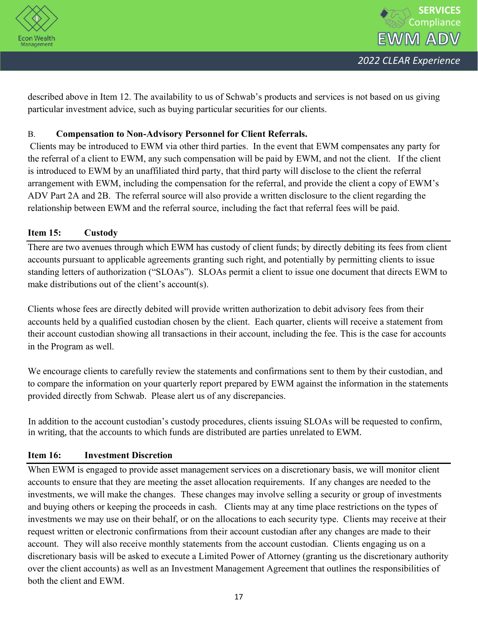



described above in Item 12. The availability to us of Schwab's products and services is not based on us giving particular investment advice, such as buying particular securities for our clients.

## B. **Compensation to Non-Advisory Personnel for Client Referrals.**

Clients may be introduced to EWM via other third parties. In the event that EWM compensates any party for the referral of a client to EWM, any such compensation will be paid by EWM, and not the client. If the client is introduced to EWM by an unaffiliated third party, that third party will disclose to the client the referral arrangement with EWM, including the compensation for the referral, and provide the client a copy of EWM's ADV Part 2A and 2B. The referral source will also provide a written disclosure to the client regarding the relationship between EWM and the referral source, including the fact that referral fees will be paid.

## **Item 15: Custody**

There are two avenues through which EWM has custody of client funds; by directly debiting its fees from client accounts pursuant to applicable agreements granting such right, and potentially by permitting clients to issue standing letters of authorization ("SLOAs"). SLOAs permit a client to issue one document that directs EWM to make distributions out of the client's account(s).

Clients whose fees are directly debited will provide written authorization to debit advisory fees from their accounts held by a qualified custodian chosen by the client. Each quarter, clients will receive a statement from their account custodian showing all transactions in their account, including the fee. This is the case for accounts in the Program as well.

We encourage clients to carefully review the statements and confirmations sent to them by their custodian, and to compare the information on your quarterly report prepared by EWM against the information in the statements provided directly from Schwab. Please alert us of any discrepancies.

In addition to the account custodian's custody procedures, clients issuing SLOAs will be requested to confirm, in writing, that the accounts to which funds are distributed are parties unrelated to EWM.

## **Item 16: Investment Discretion**

When EWM is engaged to provide asset management services on a discretionary basis, we will monitor client accounts to ensure that they are meeting the asset allocation requirements. If any changes are needed to the investments, we will make the changes. These changes may involve selling a security or group of investments and buying others or keeping the proceeds in cash. Clients may at any time place restrictions on the types of investments we may use on their behalf, or on the allocations to each security type. Clients may receive at their request written or electronic confirmations from their account custodian after any changes are made to their account. They will also receive monthly statements from the account custodian. Clients engaging us on a discretionary basis will be asked to execute a Limited Power of Attorney (granting us the discretionary authority over the client accounts) as well as an Investment Management Agreement that outlines the responsibilities of both the client and EWM.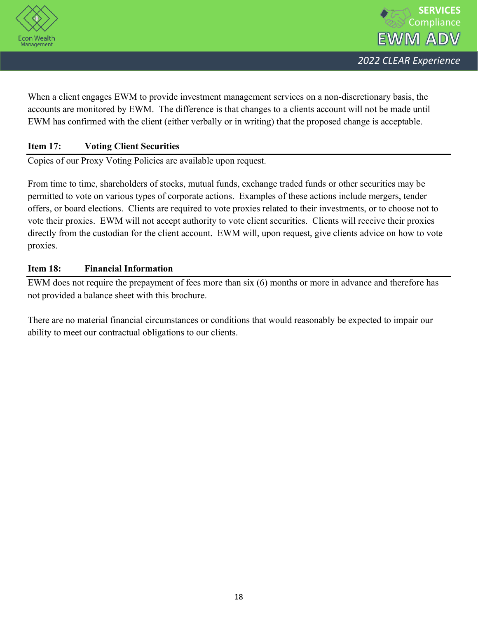

When a client engages EWM to provide investment management services on a non-discretionary basis, the accounts are monitored by EWM. The difference is that changes to a clients account will not be made until EWM has confirmed with the client (either verbally or in writing) that the proposed change is acceptable.

## **Item 17: Voting Client Securities**

Copies of our Proxy Voting Policies are available upon request.

From time to time, shareholders of stocks, mutual funds, exchange traded funds or other securities may be permitted to vote on various types of corporate actions. Examples of these actions include mergers, tender offers, or board elections. Clients are required to vote proxies related to their investments, or to choose not to vote their proxies. EWM will not accept authority to vote client securities. Clients will receive their proxies directly from the custodian for the client account. EWM will, upon request, give clients advice on how to vote proxies.

## **Item 18: Financial Information**

EWM does not require the prepayment of fees more than six (6) months or more in advance and therefore has not provided a balance sheet with this brochure.

There are no material financial circumstances or conditions that would reasonably be expected to impair our ability to meet our contractual obligations to our clients.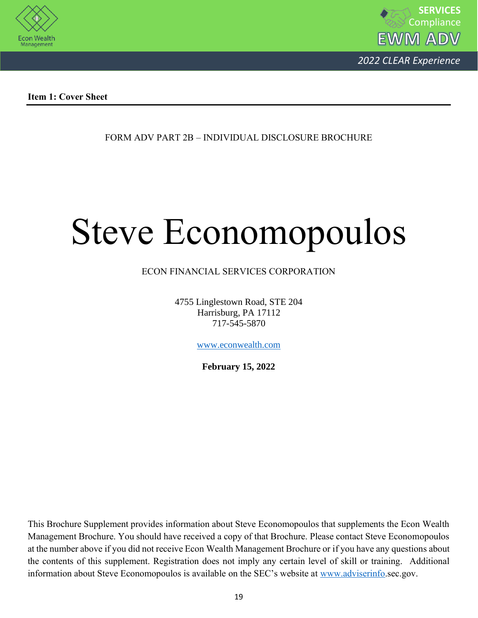



**Item 1: Cover Sheet**

FORM ADV PART 2B – INDIVIDUAL DISCLOSURE BROCHURE

# Steve Economopoulos

## ECON FINANCIAL SERVICES CORPORATION

4755 Linglestown Road, STE 204 Harrisburg, PA 17112 717-545-5870

[www.econwealth.com](http://www.econwealth.com/)

**February 15, 2022**

This Brochure Supplement provides information about Steve Economopoulos that supplements the Econ Wealth Management Brochure. You should have received a copy of that Brochure. Please contact Steve Economopoulos at the number above if you did not receive Econ Wealth Management Brochure or if you have any questions about the contents of this supplement. Registration does not imply any certain level of skill or training. Additional information about Steve Economopoulos is available on the SEC's website at [www.adviserinfo.](http://www.adviserinfo/)sec.gov.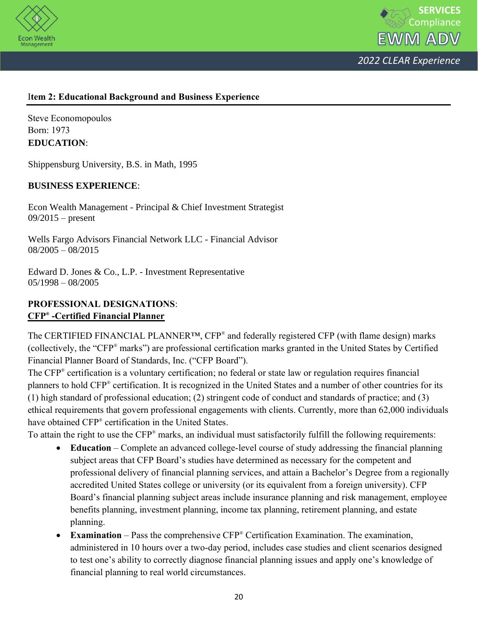



## I**tem 2: Educational Background and Business Experience**

Steve Economopoulos Born: 1973 **EDUCATION**:

Shippensburg University, B.S. in Math, 1995

#### **BUSINESS EXPERIENCE**:

Econ Wealth Management - Principal & Chief Investment Strategist 09/2015 – present

Wells Fargo Advisors Financial Network LLC - Financial Advisor  $08/2005 - 08/2015$ 

Edward D. Jones & Co., L.P. - Investment Representative 05/1998 – 08/2005

## **PROFESSIONAL DESIGNATIONS**: **CFP® -Certified Financial Planner**

The CERTIFIED FINANCIAL PLANNER<sup>™</sup>, CFP<sup>®</sup> and federally registered CFP (with flame design) marks (collectively, the "CFP® marks") are professional certification marks granted in the United States by Certified Financial Planner Board of Standards, Inc. ("CFP Board").

The CFP® certification is a voluntary certification; no federal or state law or regulation requires financial planners to hold CFP® certification. It is recognized in the United States and a number of other countries for its (1) high standard of professional education; (2) stringent code of conduct and standards of practice; and (3) ethical requirements that govern professional engagements with clients. Currently, more than 62,000 individuals have obtained CFP® certification in the United States.

To attain the right to use the CFP® marks, an individual must satisfactorily fulfill the following requirements:

- **Education** Complete an advanced college-level course of study addressing the financial planning subject areas that CFP Board's studies have determined as necessary for the competent and professional delivery of financial planning services, and attain a Bachelor's Degree from a regionally accredited United States college or university (or its equivalent from a foreign university). CFP Board's financial planning subject areas include insurance planning and risk management, employee benefits planning, investment planning, income tax planning, retirement planning, and estate planning.
- **Examination** Pass the comprehensive CFP® Certification Examination. The examination, administered in 10 hours over a two-day period, includes case studies and client scenarios designed to test one's ability to correctly diagnose financial planning issues and apply one's knowledge of financial planning to real world circumstances.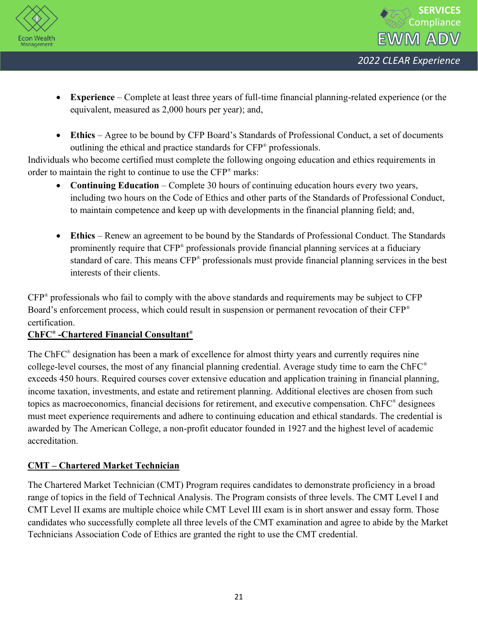



- **Experience** Complete at least three years of full-time financial planning-related experience (or the equivalent, measured as 2,000 hours per year); and,
- **Ethics** Agree to be bound by CFP Board's Standards of Professional Conduct, a set of documents outlining the ethical and practice standards for CFP® professionals.

Individuals who become certified must complete the following ongoing education and ethics requirements in order to maintain the right to continue to use the CFP® marks:

- **Continuing Education** Complete 30 hours of continuing education hours every two years, including two hours on the Code of Ethics and other parts of the Standards of Professional Conduct, to maintain competence and keep up with developments in the financial planning field; and,
- **Ethics** Renew an agreement to be bound by the Standards of Professional Conduct. The Standards prominently require that CFP<sup>®</sup> professionals provide financial planning services at a fiduciary standard of care. This means CFP® professionals must provide financial planning services in the best interests of their clients.

CFP® professionals who fail to comply with the above standards and requirements may be subject to CFP Board's enforcement process, which could result in suspension or permanent revocation of their CFP<sup>®</sup> certification.

## **ChFC® -Chartered Financial Consultant®**

The ChFC<sup>®</sup> designation has been a mark of excellence for almost thirty years and currently requires nine college-level courses, the most of any financial planning credential. Average study time to earn the ChFC® exceeds 450 hours. Required courses cover extensive education and application training in financial planning, income taxation, investments, and estate and retirement planning. Additional electives are chosen from such topics as macroeconomics, financial decisions for retirement, and executive compensation. ChFC® designees must meet experience requirements and adhere to continuing education and ethical standards. The credential is awarded by The American College, a non-profit educator founded in 1927 and the highest level of academic accreditation.

## **CMT – Chartered Market Technician**

The Chartered Market Technician (CMT) Program requires candidates to demonstrate proficiency in a broad range of topics in the field of Technical Analysis. The Program consists of three levels. The CMT Level I and CMT Level II exams are multiple choice while CMT Level III exam is in short answer and essay form. Those candidates who successfully complete all three levels of the CMT examination and agree to abide by the Market Technicians Association Code of Ethics are granted the right to use the CMT credential.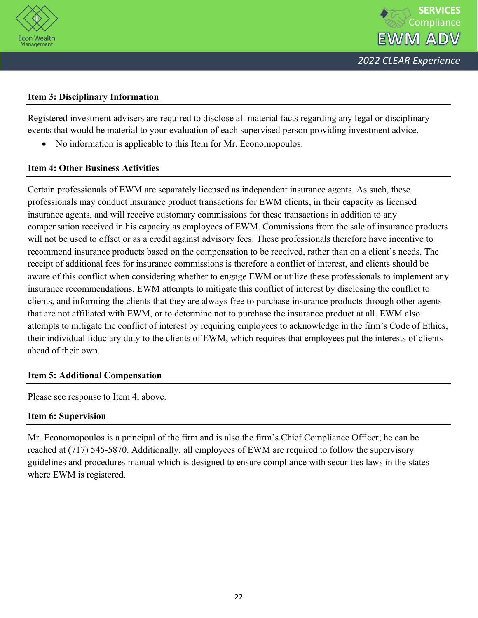

## **Item 3: Disciplinary Information**

Registered investment advisers are required to disclose all material facts regarding any legal or disciplinary events that would be material to your evaluation of each supervised person providing investment advice.

• No information is applicable to this Item for Mr. Economopoulos.

## **Item 4: Other Business Activities**

Certain professionals of EWM are separately licensed as independent insurance agents. As such, these professionals may conduct insurance product transactions for EWM clients, in their capacity as licensed insurance agents, and will receive customary commissions for these transactions in addition to any compensation received in his capacity as employees of EWM. Commissions from the sale of insurance products will not be used to offset or as a credit against advisory fees. These professionals therefore have incentive to recommend insurance products based on the compensation to be received, rather than on a client's needs. The receipt of additional fees for insurance commissions is therefore a conflict of interest, and clients should be aware of this conflict when considering whether to engage EWM or utilize these professionals to implement any insurance recommendations. EWM attempts to mitigate this conflict of interest by disclosing the conflict to clients, and informing the clients that they are always free to purchase insurance products through other agents that are not affiliated with EWM, or to determine not to purchase the insurance product at all. EWM also attempts to mitigate the conflict of interest by requiring employees to acknowledge in the firm's Code of Ethics, their individual fiduciary duty to the clients of EWM, which requires that employees put the interests of clients ahead of their own.

## **Item 5: Additional Compensation**

Please see response to Item 4, above.

## **Item 6: Supervision**

Mr. Economopoulos is a principal of the firm and is also the firm's Chief Compliance Officer; he can be reached at (717) 545-5870. Additionally, all employees of EWM are required to follow the supervisory guidelines and procedures manual which is designed to ensure compliance with securities laws in the states where EWM is registered.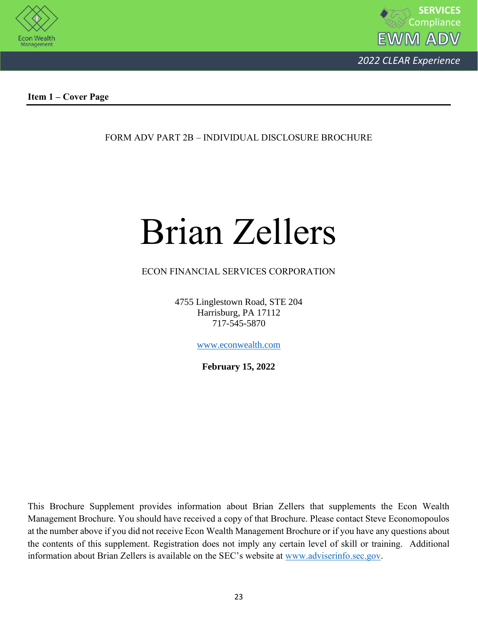



**Item 1 – Cover Page**

FORM ADV PART 2B – INDIVIDUAL DISCLOSURE BROCHURE

## Brian Zellers

## ECON FINANCIAL SERVICES CORPORATION

4755 Linglestown Road, STE 204 Harrisburg, PA 17112 717-545-5870

[www.econwealth.com](http://www.econwealth.com/)

**February 15, 2022**

This Brochure Supplement provides information about Brian Zellers that supplements the Econ Wealth Management Brochure. You should have received a copy of that Brochure. Please contact Steve Economopoulos at the number above if you did not receive Econ Wealth Management Brochure or if you have any questions about the contents of this supplement. Registration does not imply any certain level of skill or training. Additional information about Brian Zellers is available on the SEC's website at [www.adviserinfo.sec.gov.](http://www.adviserinfo.sec.gov/)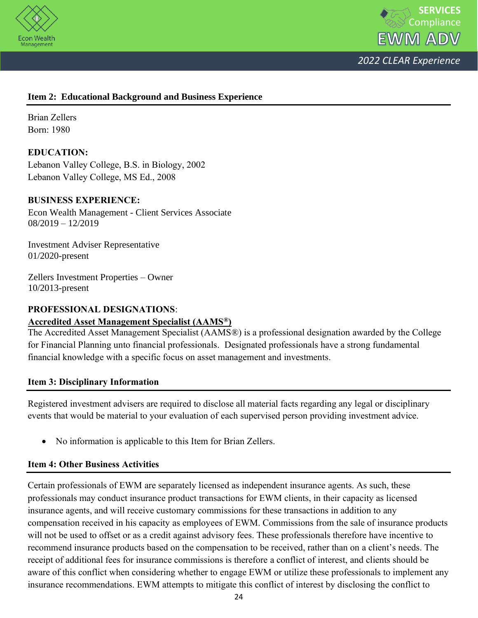



## **Item 2: Educational Background and Business Experience**

Brian Zellers Born: 1980

## **EDUCATION:**

Lebanon Valley College, B.S. in Biology, 2002 Lebanon Valley College, MS Ed., 2008

## **BUSINESS EXPERIENCE:**

Econ Wealth Management - Client Services Associate 08/2019 – 12/2019

Investment Adviser Representative 01/2020-present

Zellers Investment Properties – Owner 10/2013-present

#### **PROFESSIONAL DESIGNATIONS**:

## **Accredited Asset Management Specialist (AAMS®)**

The Accredited Asset Management Specialist (AAMS®) is a professional designation awarded by the College for Financial Planning unto financial professionals. Designated professionals have a strong fundamental financial knowledge with a specific focus on asset management and investments.

## **Item 3: Disciplinary Information**

Registered investment advisers are required to disclose all material facts regarding any legal or disciplinary events that would be material to your evaluation of each supervised person providing investment advice.

• No information is applicable to this Item for Brian Zellers.

## **Item 4: Other Business Activities**

Certain professionals of EWM are separately licensed as independent insurance agents. As such, these professionals may conduct insurance product transactions for EWM clients, in their capacity as licensed insurance agents, and will receive customary commissions for these transactions in addition to any compensation received in his capacity as employees of EWM. Commissions from the sale of insurance products will not be used to offset or as a credit against advisory fees. These professionals therefore have incentive to recommend insurance products based on the compensation to be received, rather than on a client's needs. The receipt of additional fees for insurance commissions is therefore a conflict of interest, and clients should be aware of this conflict when considering whether to engage EWM or utilize these professionals to implement any insurance recommendations. EWM attempts to mitigate this conflict of interest by disclosing the conflict to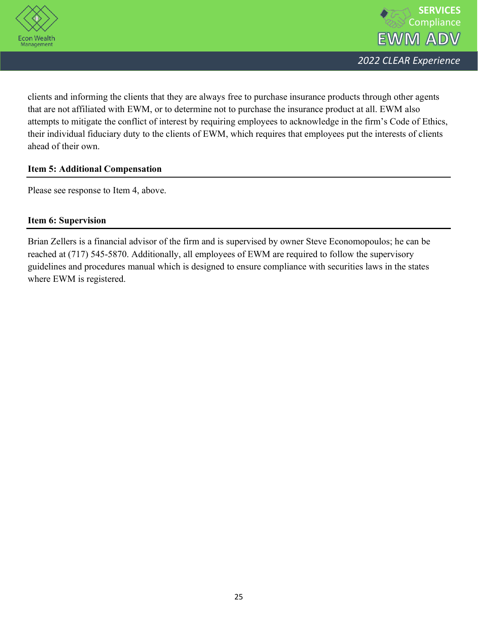



clients and informing the clients that they are always free to purchase insurance products through other agents that are not affiliated with EWM, or to determine not to purchase the insurance product at all. EWM also attempts to mitigate the conflict of interest by requiring employees to acknowledge in the firm's Code of Ethics, their individual fiduciary duty to the clients of EWM, which requires that employees put the interests of clients ahead of their own.

## **Item 5: Additional Compensation**

Please see response to Item 4, above.

## **Item 6: Supervision**

Brian Zellers is a financial advisor of the firm and is supervised by owner Steve Economopoulos; he can be reached at (717) 545-5870. Additionally, all employees of EWM are required to follow the supervisory guidelines and procedures manual which is designed to ensure compliance with securities laws in the states where EWM is registered.